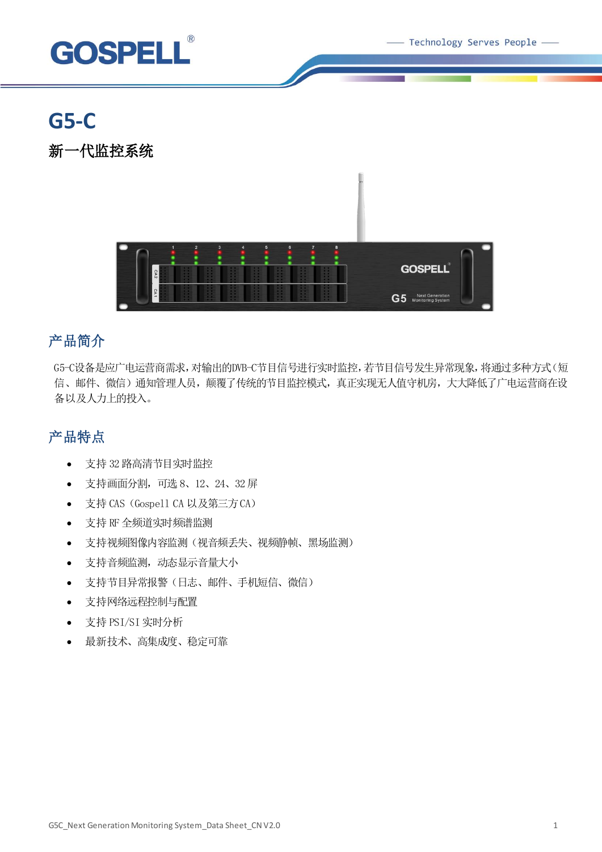Technology Serves People -



# **G5-C**

新一代监控系统



## 产品简介

G5-C设备是应广电运营商需求,对输出的DVB-C节目信号进行实时监控,若节目信号发生异常现象,将通过多种方式(短 信、邮件、微信)通知管理人员,颠覆了传统的节目监控模式,真正实现无人值守机房,大大降低了广电运营商在设 备以及人力上的投入。

## 产品特点

- 支持 32 路高清节目实时监控
- 支持画面分割,可选 8、12、24、32屏
- 支持 CAS (Gospell CA 以及第三方CA)
- 支持 RF 全频道实时频谱监测
- 支持视频图像内容监测(视音频丢失、视频静帧、黑场监测)
- 支持音频监测,动态显示音量大小
- 支持节目异常报警(日志、邮件、手机短信、微信)
- 支持网络远程控制与配置
- 支持 PSI/SI 实时分析
- 最新技术、高集成度、稳定可靠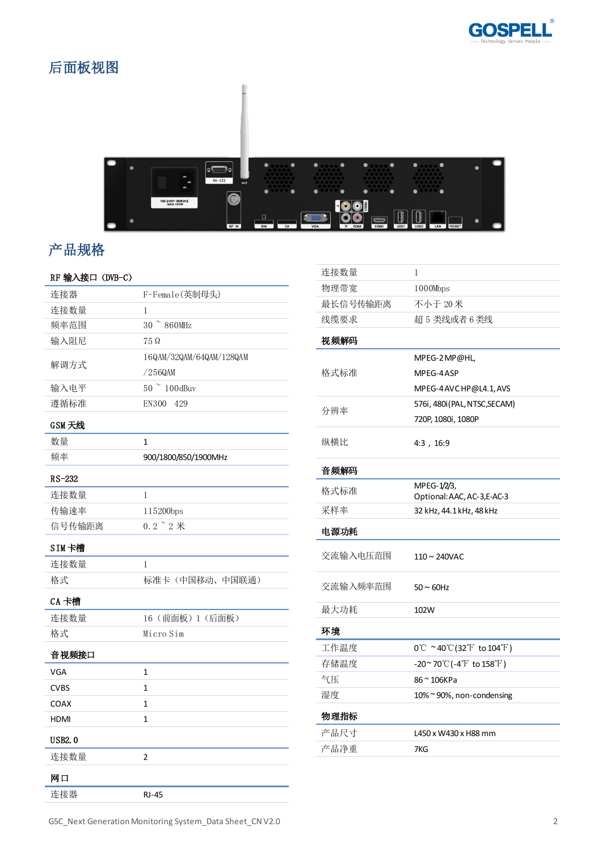

## 后面板视图



## 产品规格

## 连接器 F-Female(英制母头) 连接数量 1 频率范围 30 ~ 860MHz

RF 输入接口(DVB-C)

| 输入阻尼          | $75\Omega$               |
|---------------|--------------------------|
| 解调方式          | 16QAM/32QAM/64QAM/128QAM |
|               | /256QAM                  |
| 输入电平          | 50 ~ 100dBuv             |
| 遵循标准          | EN300<br>429             |
| GSM 天线        |                          |
| 数量            | $\mathbf{1}$             |
| 频率            | 900/1800/850/1900MHz     |
| $RS-232$      |                          |
| 连接数量          | 1                        |
| 传输速率          | 115200bps                |
| 信号传输距离        | $0.2$ $\degree$ $2$ 米    |
| SIM卡槽         |                          |
| 连接数量          | 1                        |
| 格式            | 标准卡(中国移动、中国联通)           |
| CA 卡槽         |                          |
| 连接数量          | 16 (前面板) 1 (后面板)         |
| 格式            | Micro Sim                |
| 音视频接口         |                          |
| <b>VGA</b>    | 1                        |
| <b>CVBS</b>   | 1                        |
| COAX          | $\mathbf{1}$             |
| HDMI          | 1                        |
| <b>USB2.0</b> |                          |
| 连接数量          | $\overline{2}$           |
| 网口            |                          |
| 连接器           | <b>RJ-45</b>             |

| 连接数量     | 1                                                                   |
|----------|---------------------------------------------------------------------|
| 物理带宽     | 1000Mbps                                                            |
| 最长信号传输距离 | 不小于 20米                                                             |
| 线缆要求     | 超5类线或者6类线                                                           |
| 视频解码     |                                                                     |
| 格式标准     | MPEG-2 MP@HL,                                                       |
|          | MPEG-4ASP                                                           |
|          | MPEG-4 AVC HP@L4.1, AVS                                             |
| 分辨率      | 576i, 480i (PAL, NTSC, SECAM)                                       |
|          | 720P, 1080i, 1080P                                                  |
| 纵横比      | 4:3, 16:9                                                           |
| 音频解码     |                                                                     |
| 格式标准     | MPEG-1/2/3,                                                         |
| 采样率      | Optional: AAC, AC-3, E-AC-3<br>32 kHz, 44.1 kHz, 48 kHz             |
|          |                                                                     |
| 电源功耗     |                                                                     |
| 交流输入电压范围 | $110 \sim 240$ VAC                                                  |
| 交流输入频率范围 | $50 \sim 60$ Hz                                                     |
| 最大功耗     | 102W                                                                |
| 环境       |                                                                     |
| 工作温度     | $0^{\circ}$ C ~40 $^{\circ}$ C(32 $^{\circ}$ F to 104 $^{\circ}$ F) |
| 存储温度     | $-20^\sim 70^\circ\text{C}$ (-4 $\text{F}$ to 158 $\text{F}$ )      |
| 气压       | 86 ~ 106KPa                                                         |
| 湿度       | 10%~90%, non-condensing                                             |
| 物理指标     |                                                                     |
| 产品尺寸     | L450 x W430 x H88 mm                                                |
| 产品净重     | 7KG                                                                 |
|          |                                                                     |